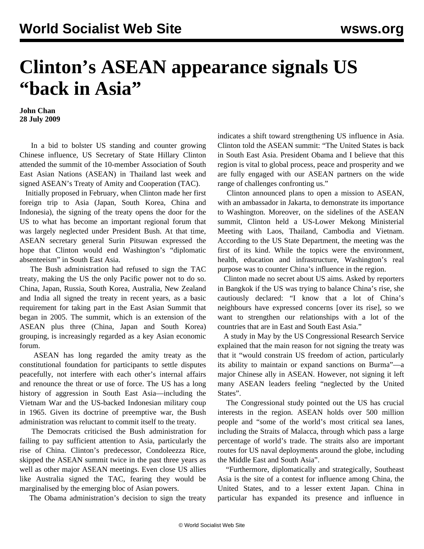## **Clinton's ASEAN appearance signals US "back in Asia"**

**John Chan 28 July 2009**

 In a bid to bolster US standing and counter growing Chinese influence, US Secretary of State Hillary Clinton attended the summit of the 10-member Association of South East Asian Nations (ASEAN) in Thailand last week and signed ASEAN's Treaty of Amity and Cooperation (TAC).

 Initially proposed in February, when Clinton made her first foreign trip to Asia (Japan, South Korea, China and Indonesia), the signing of the treaty opens the door for the US to what has become an important regional forum that was largely neglected under President Bush. At that time, ASEAN secretary general Surin Pitsuwan expressed the hope that Clinton would end Washington's "diplomatic absenteeism" in South East Asia.

 The Bush administration had refused to sign the TAC treaty, making the US the only Pacific power not to do so. China, Japan, Russia, South Korea, Australia, New Zealand and India all signed the treaty in recent years, as a basic requirement for taking part in the East Asian Summit that began in 2005. The summit, which is an extension of the ASEAN plus three (China, Japan and South Korea) grouping, is increasingly regarded as a key Asian economic forum.

 ASEAN has long regarded the amity treaty as the constitutional foundation for participants to settle disputes peacefully, not interfere with each other's internal affairs and renounce the threat or use of force. The US has a long history of aggression in South East Asia—including the Vietnam War and the US-backed Indonesian military coup in 1965. Given its doctrine of preemptive war, the Bush administration was reluctant to commit itself to the treaty.

 The Democrats criticised the Bush administration for failing to pay sufficient attention to Asia, particularly the rise of China. Clinton's predecessor, Condoleezza Rice, skipped the ASEAN summit twice in the past three years as well as other major ASEAN meetings. Even close US allies like Australia signed the TAC, fearing they would be marginalised by the emerging bloc of Asian powers.

The Obama administration's decision to sign the treaty

indicates a shift toward strengthening US influence in Asia. Clinton told the ASEAN summit: "The United States is back in South East Asia. President Obama and I believe that this region is vital to global process, peace and prosperity and we are fully engaged with our ASEAN partners on the wide range of challenges confronting us."

 Clinton announced plans to open a mission to ASEAN, with an ambassador in Jakarta, to demonstrate its importance to Washington. Moreover, on the sidelines of the ASEAN summit, Clinton held a US-Lower Mekong Ministerial Meeting with Laos, Thailand, Cambodia and Vietnam. According to the US State Department, the meeting was the first of its kind. While the topics were the environment, health, education and infrastructure, Washington's real purpose was to counter China's influence in the region.

 Clinton made no secret about US aims. Asked by reporters in Bangkok if the US was trying to balance China's rise, she cautiously declared: "I know that a lot of China's neighbours have expressed concerns [over its rise], so we want to strengthen our relationships with a lot of the countries that are in East and South East Asia."

 A study in May by the US Congressional Research Service explained that the main reason for not signing the treaty was that it "would constrain US freedom of action, particularly its ability to maintain or expand sanctions on Burma"—a major Chinese ally in ASEAN. However, not signing it left many ASEAN leaders feeling "neglected by the United States".

 The Congressional study pointed out the US has crucial interests in the region. ASEAN holds over 500 million people and "some of the world's most critical sea lanes, including the Straits of Malacca, through which pass a large percentage of world's trade. The straits also are important routes for US naval deployments around the globe, including the Middle East and South Asia".

 "Furthermore, diplomatically and strategically, Southeast Asia is the site of a contest for influence among China, the United States, and to a lesser extent Japan. China in particular has expanded its presence and influence in